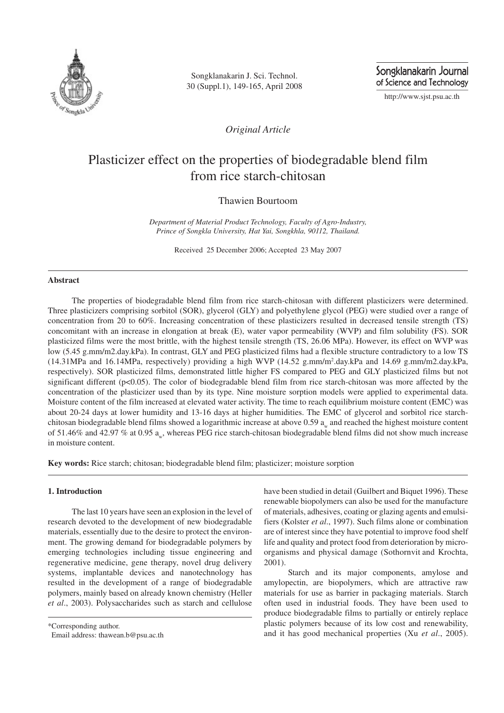

Songklanakarin J. Sci. Technol. 30 (Suppl.1), 149-165, April 2008 Songklanakarin Journal of Science and Technology

http://www.sjst.psu.ac.th

*Original Article*

# Plasticizer effect on the properties of biodegradable blend film from rice starch-chitosan

## Thawien Bourtoom

*Department of Material Product Technology, Faculty of Agro-Industry, Prince of Songkla University, Hat Yai, Songkhla, 90112, Thailand.*

Received 25 December 2006; Accepted 23 May 2007

## **Abstract**

The properties of biodegradable blend film from rice starch-chitosan with different plasticizers were determined. Three plasticizers comprising sorbitol (SOR), glycerol (GLY) and polyethylene glycol (PEG) were studied over a range of concentration from 20 to 60%. Increasing concentration of these plasticizers resulted in decreased tensile strength (TS) concomitant with an increase in elongation at break (E), water vapor permeability (WVP) and film solubility (FS). SOR plasticized films were the most brittle, with the highest tensile strength (TS, 26.06 MPa). However, its effect on WVP was low (5.45 g.mm/m2.day.kPa). In contrast, GLY and PEG plasticized films had a flexible structure contradictory to a low TS (14.31MPa and 16.14MPa, respectively) providing a high WVP (14.52 g.mm/m<sup>2</sup> .day.kPa and 14.69 g.mm/m2.day.kPa, respectively). SOR plasticized films, demonstrated little higher FS compared to PEG and GLY plasticized films but not significant different (p<0.05). The color of biodegradable blend film from rice starch-chitosan was more affected by the concentration of the plasticizer used than by its type. Nine moisture sorption models were applied to experimental data. Moisture content of the film increased at elevated water activity. The time to reach equilibrium moisture content (EMC) was about 20-24 days at lower humidity and 13-16 days at higher humidities. The EMC of glycerol and sorbitol rice starchchitosan biodegradable blend films showed a logarithmic increase at above  $0.59$   $a_w$  and reached the highest moisture content of 51.46% and 42.97 % at 0.95  $a_w$ , whereas PEG rice starch-chitosan biodegradable blend films did not show much increase in moisture content.

**Key words:** Rice starch; chitosan; biodegradable blend film; plasticizer; moisture sorption

## **1. Introduction**

The last 10 years have seen an explosion in the level of research devoted to the development of new biodegradable materials, essentially due to the desire to protect the environment. The growing demand for biodegradable polymers by emerging technologies including tissue engineering and regenerative medicine, gene therapy, novel drug delivery systems, implantable devices and nanotechnology has resulted in the development of a range of biodegradable polymers, mainly based on already known chemistry (Heller *et al*., 2003). Polysaccharides such as starch and cellulose

\*Corresponding author.

have been studied in detail (Guilbert and Biquet 1996). These renewable biopolymers can also be used for the manufacture of materials, adhesives, coating or glazing agents and emulsifiers (Kolster *et al*., 1997). Such films alone or combination are of interest since they have potential to improve food shelf life and quality and protect food from deterioration by microorganisms and physical damage (Sothornvit and Krochta, 2001).

Starch and its major components, amylose and amylopectin, are biopolymers, which are attractive raw materials for use as barrier in packaging materials. Starch often used in industrial foods. They have been used to produce biodegradable films to partially or entirely replace plastic polymers because of its low cost and renewability, and it has good mechanical properties (Xu *et al*., 2005).

Email address: thawean.b@psu.ac.th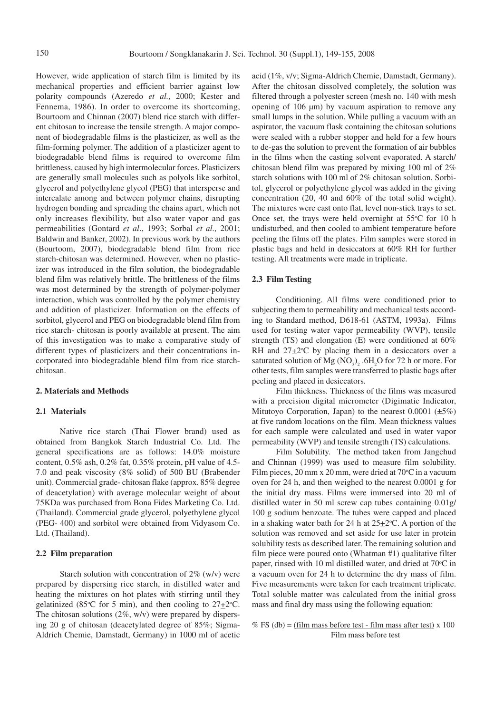However, wide application of starch film is limited by its mechanical properties and efficient barrier against low polarity compounds (Azeredo *et al.*, 2000; Kester and Fennema, 1986). In order to overcome its shortcoming, Bourtoom and Chinnan (2007) blend rice starch with different chitosan to increase the tensile strength. A major component of biodegradable films is the plasticizer, as well as the film-forming polymer. The addition of a plasticizer agent to biodegradable blend films is required to overcome film brittleness, caused by high intermolecular forces. Plasticizers are generally small molecules such as polyols like sorbitol, glycerol and polyethylene glycol (PEG) that intersperse and intercalate among and between polymer chains, disrupting hydrogen bonding and spreading the chains apart, which not only increases flexibility, but also water vapor and gas permeabilities (Gontard *et al*., 1993; Sorbal *et al.,* 2001; Baldwin and Banker, 2002). In previous work by the authors (Bourtoom, 2007), biodegradable blend film from rice starch-chitosan was determined. However, when no plasticizer was introduced in the film solution, the biodegradable blend film was relatively brittle. The brittleness of the films was most determined by the strength of polymer-polymer interaction, which was controlled by the polymer chemistry and addition of plasticizer. Information on the effects of sorbitol, glycerol and PEG on biodegradable blend film from rice starch- chitosan is poorly available at present. The aim of this investigation was to make a comparative study of different types of plasticizers and their concentrations incorporated into biodegradable blend film from rice starchchitosan.

## **2. Materials and Methods**

## **2.1 Materials**

Native rice starch (Thai Flower brand) used as obtained from Bangkok Starch Industrial Co. Ltd. The general specifications are as follows: 14.0% moisture content, 0.5% ash, 0.2% fat, 0.35% protein, pH value of 4.5- 7.0 and peak viscosity (8% solid) of 500 BU (Brabender unit). Commercial grade- chitosan flake (approx. 85% degree of deacetylation) with average molecular weight of about 75KDa was purchased from Bona Fides Marketing Co. Ltd. (Thailand). Commercial grade glycerol, polyethylene glycol (PEG- 400) and sorbitol were obtained from Vidyasom Co. Ltd. (Thailand).

## **2.2 Film preparation**

Starch solution with concentration of 2% (w/v) were prepared by dispersing rice starch, in distilled water and heating the mixtures on hot plates with stirring until they gelatinized (85 $\degree$ C for 5 min), and then cooling to 27 $\pm$ 2 $\degree$ C. The chitosan solutions  $(2\%, w/v)$  were prepared by dispersing 20 g of chitosan (deacetylated degree of 85%; Sigma-Aldrich Chemie, Damstadt, Germany) in 1000 ml of acetic acid (1%, v/v; Sigma-Aldrich Chemie, Damstadt, Germany). After the chitosan dissolved completely, the solution was filtered through a polyester screen (mesh no. 140 with mesh opening of 106 µm) by vacuum aspiration to remove any small lumps in the solution. While pulling a vacuum with an aspirator, the vacuum flask containing the chitosan solutions were sealed with a rubber stopper and held for a few hours to de-gas the solution to prevent the formation of air bubbles in the films when the casting solvent evaporated. A starch/ chitosan blend film was prepared by mixing 100 ml of 2% starch solutions with 100 ml of 2% chitosan solution. Sorbitol, glycerol or polyethylene glycol was added in the giving concentration (20, 40 and 60% of the total solid weight). The mixtures were cast onto flat, level non-stick trays to set. Once set, the trays were held overnight at  $55^{\circ}$ C for 10 h undisturbed, and then cooled to ambient temperature before peeling the films off the plates. Film samples were stored in plastic bags and held in desiccators at 60% RH for further testing. All treatments were made in triplicate.

## **2.3 Film Testing**

Conditioning. All films were conditioned prior to subjecting them to permeability and mechanical tests according to Standard method, D618-61 (ASTM, 1993a). Films used for testing water vapor permeability (WVP), tensile strength (TS) and elongation (E) were conditioned at 60% RH and  $27+2$ <sup>o</sup>C by placing them in a desiccators over a saturated solution of Mg  $(NO_3)_2$  .6H<sub>2</sub>O for 72 h or more. For other tests, film samples were transferred to plastic bags after peeling and placed in desiccators.

Film thickness*.* Thickness of the films was measured with a precision digital micrometer (Digimatic Indicator, Mitutoyo Corporation, Japan) to the nearest  $0.0001$  ( $\pm 5\%$ ) at five random locations on the film. Mean thickness values for each sample were calculated and used in water vapor permeability (WVP) and tensile strength (TS) calculations.

Film Solubility. The method taken from Jangchud and Chinnan (1999) was used to measure film solubility. Film pieces,  $20 \text{ mm}$  x  $20 \text{ mm}$ , were dried at  $70^{\circ}$ C in a vacuum oven for 24 h, and then weighed to the nearest 0.0001 g for the initial dry mass. Films were immersed into 20 ml of distilled water in 50 ml screw cap tubes containing 0.01g/ 100 g sodium benzoate. The tubes were capped and placed in a shaking water bath for 24 h at  $25\pm2$ °C. A portion of the solution was removed and set aside for use later in protein solubility tests as described later. The remaining solution and film piece were poured onto (Whatman #1) qualitative filter paper, rinsed with 10 ml distilled water, and dried at  $70^{\circ}$ C in a vacuum oven for 24 h to determine the dry mass of film. Five measurements were taken for each treatment triplicate. Total soluble matter was calculated from the initial gross mass and final dry mass using the following equation:

% FS (db) = (film mass before test - film mass after test)  $x$  100 Film mass before test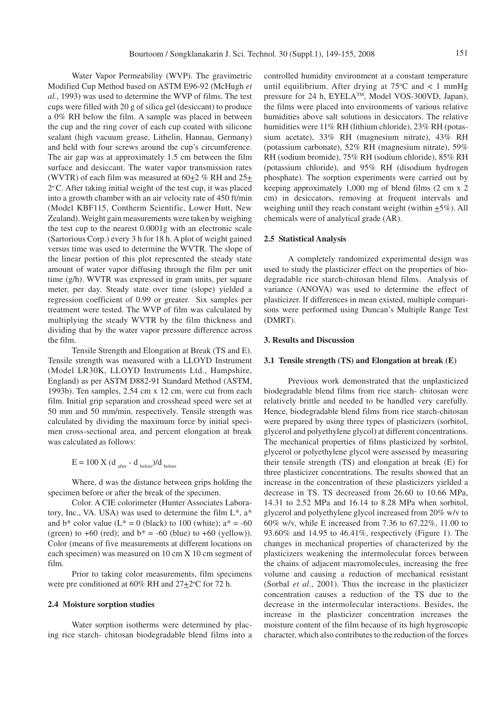Water Vapor Permeability (WVP). The gravimetric Modified Cup Method based on ASTM E96-92 (McHugh *et al.*, 1993) was used to determine the WVP of films. The test cups were filled with 20 g of silica gel (desiccant) to produce a 0% RH below the film. A sample was placed in between the cup and the ring cover of each cup coated with silicone sealant (high vacuum grease, Lithelin, Hannau, Germany) and held with four screws around the cup's circumference. The air gap was at approximately 1.5 cm between the film surface and desiccant. The water vapor transmission rates (WVTR) of each film was measured at  $60\pm2\%$  RH and  $25\pm$ 2 <sup>o</sup>C. After taking initial weight of the test cup, it was placed into a growth chamber with an air velocity rate of 450 ft/min (Model KBF115, Contherm Scientific, Lower Hutt, New Zealand). Weight gain measurements were taken by weighing the test cup to the nearest 0.0001g with an electronic scale (Sartorious Corp.) every 3 h for 18 h. A plot of weight gained versus time was used to determine the WVTR. The slope of the linear portion of this plot represented the steady state amount of water vapor diffusing through the film per unit time (g/h). WVTR was expressed in gram units, per square meter, per day. Steady state over time (slope) yielded a regression coefficient of 0.99 or greater. Six samples per treatment were tested. The WVP of film was calculated by multiplying the steady WVTR by the film thickness and dividing that by the water vapor pressure difference across the film.

Tensile Strength and Elongation at Break (TS and E). Tensile strength was measured with a LLOYD Instrument (Model LR30K, LLOYD Instruments Ltd., Hampshire, England) as per ASTM D882-91 Standard Method (ASTM, 1993b). Ten samples, 2.54 cm x 12 cm, were cut from each film. Initial grip separation and crosshead speed were set at 50 mm and 50 mm/min, respectively. Tensile strength was calculated by dividing the maximum force by initial specimen cross-sectional area, and percent elongation at break was calculated as follows:

 $E = 100 \text{ X (d}_{after} - d_{before})/d_{before}$ 

Where, d was the distance between grips holding the specimen before or after the break of the specimen.

Color. A CIE colorimeter (Hunter Associates Laboratory, Inc., VA. USA) was used to determine the film L\*, a\* and  $b^*$  color value ( $L^* = 0$  (black) to 100 (white);  $a^* = -60$ (green) to  $+60$  (red); and  $b^* = -60$  (blue) to  $+60$  (yellow)). Color (means of five measurements at different locations on each specimen) was measured on 10 cm X 10 cm segment of film.

Prior to taking color measurements, film specimens were pre conditioned at 60% RH and  $27\pm2^{\circ}$ C for 72 h.

#### **2.4 Moisture sorption studies**

Water sorption isotherms were determined by placing rice starch- chitosan biodegradable blend films into a controlled humidity environment at a constant temperature until equilibrium. After drying at  $75^{\circ}$ C and < 1 mmHg pressure for 24 h, EYELA™, Model VOS-300VD, Japan), the films were placed into environments of various relative humidities above salt solutions in desiccators. The relative humidities were  $11\%$  RH (lithium chloride), 23% RH (potassium acetate), 33% RH (magnesium nitrate), 43% RH (potassium carbonate), 52% RH (magnesium nitrate), 59% RH (sodium bromide), 75% RH (sodium chloride), 85% RH (potassium chloride), and 95% RH (disodium hydrogen phosphate). The sorption experiments were carried out by keeping approximately 1,000 mg of blend films (2 cm x 2 cm) in desiccators, removing at frequent intervals and weighing until they reach constant weight (within  $\pm 5\%$ ). All chemicals were of analytical grade (AR).

## **2.5 Statistical Analysis**

A completely randomized experimental design was used to study the plasticizer effect on the properties of biodegradable rice starch-chitosan blend films. Analysis of variance (ANOVA) was used to determine the effect of plasticizer. If differences in mean existed, multiple comparisons were performed using Duncan's Multiple Range Test (DMRT).

## **3. Results and Discussion**

#### **3.1 Tensile strength (TS) and Elongation at break (E)**

Previous work demonstrated that the unplasticized biodegradable blend films from rice starch- chitosan were relatively brittle and needed to be handled very carefully. Hence, biodegradable blend films from rice starch-chitosan were prepared by using three types of plasticizers (sorbitol, glycerol and polyethylene glycol) at different concentrations. The mechanical properties of films plasticized by sorbitol, glycerol or polyethylene glycol were assessed by measuring their tensile strength (TS) and elongation at break (E) for three plasticizer concentrations. The results showed that an increase in the concentration of these plasticizers yielded a decrease in TS. TS decreased from 26.60 to 10.66 MPa, 14.31 to 2.52 MPa and 16.14 to 8.28 MPa when sorbitol, glycerol and polyethylene glycol increased from 20% w/v to 60% w/v, while E increased from 7.36 to 67.22%, 11.00 to 93.60% and 14.95 to 46.41%, respectively (Figure 1). The changes in mechanical properties of characterized by the plasticizers weakening the intermolecular forces between the chains of adjacent macromolecules, increasing the free volume and causing a reduction of mechanical resistant (Sorbal *et al*., 2001). Thus the increase in the plasticizer concentration causes a reduction of the TS due to the decrease in the intermolecular interactions. Besides, the increase in the plasticizer concentration increases the moisture content of the film because of its high hygroscopic character, which also contributes to the reduction of the forces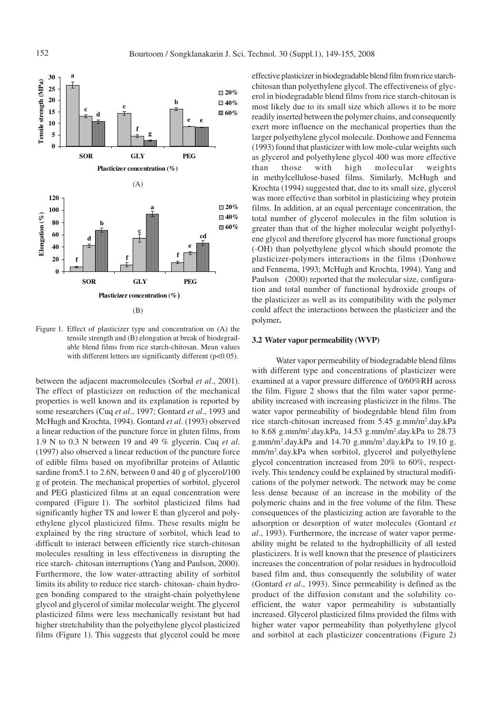

Figure 1. Effect of plasticizer type and concentration on (A) the tensile strength and (B) elongation at break of biodegradable blend films from rice starch-chitosan. Mean values with different letters are significantly different (p<0.05).

between the adjacent macromolecules (Sorbal *et al*., 2001). The effect of plasticizer on reduction of the mechanical properties is well known and its explanation is reported by some researchers (Cuq *et al*., 1997; Gontard *et al*., 1993 and McHugh and Krochta, 1994). Gontard *et al*. (1993) observed a linear reduction of the puncture force in gluten films, from 1.9 N to 0.3 N between 19 and 49 % glycerin. Cuq *et al*. (1997) also observed a linear reduction of the puncture force of edible films based on myofibrillar proteins of Atlantic sardine from 5.1 to 2.6N, between 0 and 40 g of glycerol/100 g of protein. The mechanical properties of sorbitol, glycerol and PEG plasticized films at an equal concentration were compared (Figure 1). The sorbitol plasticized films had significantly higher TS and lower E than glycerol and polyethylene glycol plasticized films. These results might be explained by the ring structure of sorbitol, which lead to difficult to interact between efficiently rice starch-chitosan molecules resulting in less effectiveness in disrupting the rice starch- chitosan interruptions (Yang and Paulson, 2000). Furthermore, the low water-attracting ability of sorbitol limits its ability to reduce rice starch- chitosan- chain hydrogen bonding compared to the straight-chain polyethylene glycol and glycerol of similar molecular weight. The glycerol plasticized films were less mechanically resistant but had higher stretchability than the polyethylene glycol plasticized films (Figure 1). This suggests that glycerol could be more effective plasticizer in biodegradable blend film from rice starchchitosan than polyethylene glycol. The effectiveness of glycerol in biodegradable blend films from rice starch-chitosan is most likely due to its small size which allows it to be more readily inserted between the polymer chains, and consequently exert more influence on the mechanical properties than the larger polyethylene glycol molecule. Donhowe and Fennema (1993) found that plasticizer with low mole-cular weights such as glycerol and polyethylene glycol 400 was more effective than those with high molecular weights in methylcellulose-based films. Similarly, McHugh and Krochta (1994) suggested that, due to its small size, glycerol was more effective than sorbitol in plasticizing whey protein films. In addition, at an equal percentage concentration, the total number of glycerol molecules in the film solution is greater than that of the higher molecular weight polyethylene glycol and therefore glycerol has more functional groups (-OH) than polyethylene glycol which should promote the plasticizer-polymers interactions in the films (Donhowe and Fennema, 1993; McHugh and Krochta, 1994). Yang and Paulson (2000) reported that the molecular size, configuration and total number of functional hydroxide groups of the plasticizer as well as its compatibility with the polymer could affect the interactions between the plasticizer and the polymer**.**

### **3.2 Water vapor permeability (WVP)**

Water vapor permeability of biodegradable blend films with different type and concentrations of plasticizer were examined at a vapor pressure difference of 0/60%RH across the film. Figure 2 shows that the film water vapor permeability increased with increasing plasticizer in the films. The water vapor permeability of biodegrdable blend film from rice starch-chitosan increased from 5.45 g.mm/m<sup>2</sup>.day.kPa to 8.68 g.mm/m<sup>2</sup> .day.kPa, 14.53 g.mm/m<sup>2</sup> .day.kPa to 28.73 g.mm/m<sup>2</sup> .day.kPa and 14.70 g.mm/m<sup>2</sup> .day.kPa to 19.10 g. mm/m<sup>2</sup> .day.kPa when sorbitol, glycerol and polyethylene glycol concentration increased from 20% to 60%, respectively. This tendency could be explained by structural modifications of the polymer network. The network may be come less dense because of an increase in the mobility of the polymeric chains and in the free volume of the film. These consequences of the plasticizing action are favorable to the adsorption or desorption of water molecules (Gontard *et al*., 1993). Furthermore, the increase of water vapor permeability might be related to the hydrophillicity of all tested plasticizers. It is well known that the presence of plasticizers increases the concentration of polar residues in hydrocolloid based film and, thus consequently the solubility of water (Gontard *et al*., 1993). Since permeability is defined as the product of the diffusion constant and the solubility coefficient, the water vapor permeability is substantially increased. Glycerol plasticized films provided the films with higher water vapor permeability than polyethylene glycol and sorbitol at each plasticizer concentrations (Figure 2)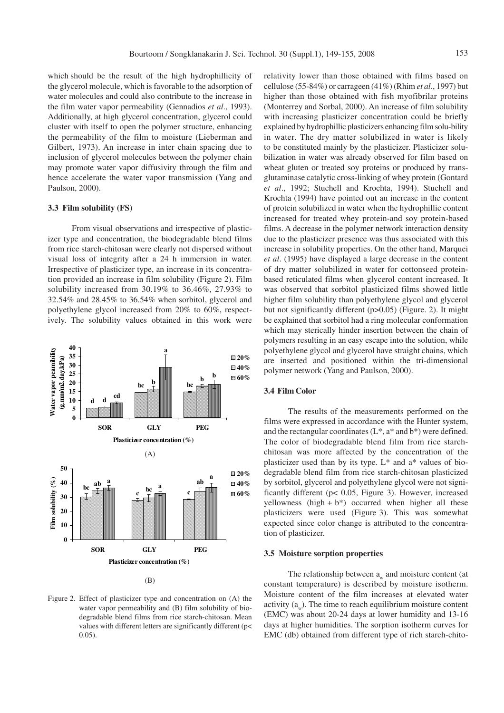which should be the result of the high hydrophillicity of the glycerol molecule, which is favorable to the adsorption of water molecules and could also contribute to the increase in the film water vapor permeability (Gennadios *et al*., 1993). Additionally, at high glycerol concentration, glycerol could cluster with itself to open the polymer structure, enhancing the permeability of the film to moisture (Lieberman and Gilbert, 1973). An increase in inter chain spacing due to inclusion of glycerol molecules between the polymer chain may promote water vapor diffusivity through the film and hence accelerate the water vapor transmission (Yang and Paulson, 2000).

## **3.3 Film solubility (FS)**

From visual observations and irrespective of plasticizer type and concentration, the biodegradable blend films from rice starch-chitosan were clearly not dispersed without visual loss of integrity after a 24 h immersion in water. Irrespective of plasticizer type, an increase in its concentration provided an increase in film solubility (Figure 2). Film solubility increased from 30.19% to 36.46%, 27.93% to 32.54% and 28.45% to 36.54% when sorbitol, glycerol and polyethylene glycol increased from 20% to 60%, respectively. The solubility values obtained in this work were



Figure 2. Effect of plasticizer type and concentration on (A) the water vapor permeability and (B) film solubility of biodegradable blend films from rice starch-chitosan. Mean values with different letters are significantly different (p< 0.05).

relativity lower than those obtained with films based on cellulose (55-84%) or carrageen (41%) (Rhim *et al*., 1997) but higher than those obtained with fish myofibrilar proteins (Monterrey and Sorbal, 2000). An increase of film solubility with increasing plasticizer concentration could be briefly explained by hydrophillic plasticizers enhancing film solu-bility in water. The dry matter solubilized in water is likely to be constituted mainly by the plasticizer. Plasticizer solubilization in water was already observed for film based on wheat gluten or treated soy proteins or produced by transglutaminase catalytic cross-linking of whey protein (Gontard *et al*., 1992; Stuchell and Krochta, 1994). Stuchell and Krochta (1994) have pointed out an increase in the content of protein solubilized in water when the hydrophillic content increased for treated whey protein-and soy protein-based films. A decrease in the polymer network interaction density due to the plasticizer presence was thus associated with this increase in solubility properties. On the other hand, Marquei *et al*. (1995) have displayed a large decrease in the content of dry matter solubilized in water for cottonseed proteinbased reticulated films when glycerol content increased. It was observed that sorbitol plasticized films showed little higher film solubility than polyethylene glycol and glycerol but not significantly different (p>0.05) (Figure. 2). It might be explained that sorbitol had a ring molecular conformation which may sterically hinder insertion between the chain of polymers resulting in an easy escape into the solution, while polyethylene glycol and glycerol have straight chains, which are inserted and positioned within the tri-dimensional polymer network (Yang and Paulson, 2000).

## **3.4 Film Color**

The results of the measurements performed on the films were expressed in accordance with the Hunter system, and the rectangular coordinates  $(L^*, a^*$  and  $b^*)$  were defined. The color of biodegradable blend film from rice starchchitosan was more affected by the concentration of the plasticizer used than by its type.  $L^*$  and  $a^*$  values of biodegradable blend film from rice starch-chitosan plasticized by sorbitol, glycerol and polyethylene glycol were not significantly different (p< 0.05, Figure 3). However, increased yellowness (high  $+ b^*$ ) occurred when higher all these plasticizers were used (Figure 3). This was somewhat expected since color change is attributed to the concentration of plasticizer.

#### **3.5 Moisture sorption properties**

The relationship between  $a_w$  and moisture content (at constant temperature) is described by moisture isotherm. Moisture content of the film increases at elevated water activity  $(a_w)$ . The time to reach equilibrium moisture content (EMC) was about 20-24 days at lower humidity and 13-16 days at higher humidities. The sorption isotherm curves for EMC (db) obtained from different type of rich starch-chito-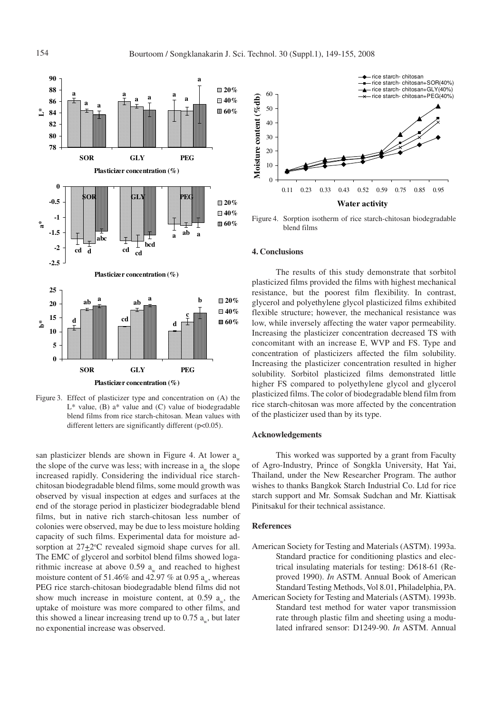

Figure 3. Effect of plasticizer type and concentration on (A) the  $L^*$  value, (B) a<sup>\*</sup> value and (C) value of biodegradable blend films from rice starch-chitosan. Mean values with different letters are significantly different (p<0.05).

san plasticizer blends are shown in Figure 4. At lower  $a_{w}$ the slope of the curve was less; with increase in  $a_w$  the slope increased rapidly. Considering the individual rice starchchitosan biodegradable blend films, some mould growth was observed by visual inspection at edges and surfaces at the end of the storage period in plasticizer biodegradable blend films, but in native rich starch-chitosan less number of colonies were observed, may be due to less moisture holding capacity of such films. Experimental data for moisture adsorption at  $27 \pm 2^{\circ}$ C revealed sigmoid shape curves for all. The EMC of glycerol and sorbitol blend films showed logarithmic increase at above 0.59  $a_w$  and reached to highest moisture content of 51.46% and 42.97 % at 0.95  $a_{w}$ , whereas PEG rice starch-chitosan biodegradable blend films did not show much increase in moisture content, at 0.59  $a_w$ , the uptake of moisture was more compared to other films, and this showed a linear increasing trend up to 0.75  $a_w$ , but later no exponential increase was observed.



Figure 4. Sorption isotherm of rice starch-chitosan biodegradable blend films

#### **4. Conclusions**

The results of this study demonstrate that sorbitol plasticized films provided the films with highest mechanical resistance, but the poorest film flexibility. In contrast, glycerol and polyethylene glycol plasticized films exhibited flexible structure; however, the mechanical resistance was low, while inversely affecting the water vapor permeability. Increasing the plasticizer concentration decreased TS with concomitant with an increase E, WVP and FS. Type and concentration of plasticizers affected the film solubility. Increasing the plasticizer concentration resulted in higher solubility. Sorbitol plasticized films demonstrated little higher FS compared to polyethylene glycol and glycerol plasticized films. The color of biodegradable blend film from rice starch-chitosan was more affected by the concentration of the plasticizer used than by its type.

## **Acknowledgements**

This worked was supported by a grant from Faculty of Agro-Industry, Prince of Songkla University, Hat Yai, Thailand, under the New Researcher Program. The author wishes to thanks Bangkok Starch Industrial Co. Ltd for rice starch support and Mr. Somsak Sudchan and Mr. Kiattisak Pinitsakul for their technical assistance.

## **References**

- American Society for Testing and Materials (ASTM). 1993a. Standard practice for conditioning plastics and electrical insulating materials for testing: D618-61 (Reproved 1990). *In* ASTM. Annual Book of American Standard Testing Methods, Vol 8.01, Philadelphia, PA.
- American Society for Testing and Materials (ASTM). 1993b. Standard test method for water vapor transmission rate through plastic film and sheeting using a modulated infrared sensor: D1249-90. *In* ASTM. Annual